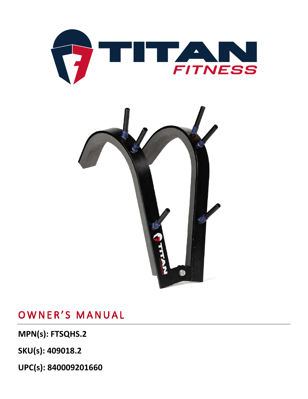



**MPN(s): FTSQHS.2**

**SKU(s): 409018.2**

**UPC(s): 840009201660**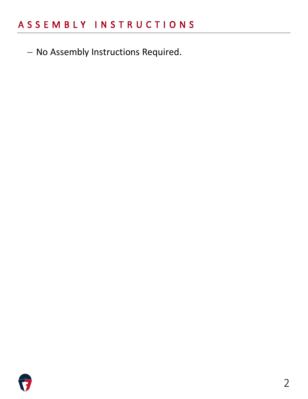− No Assembly Instructions Required.